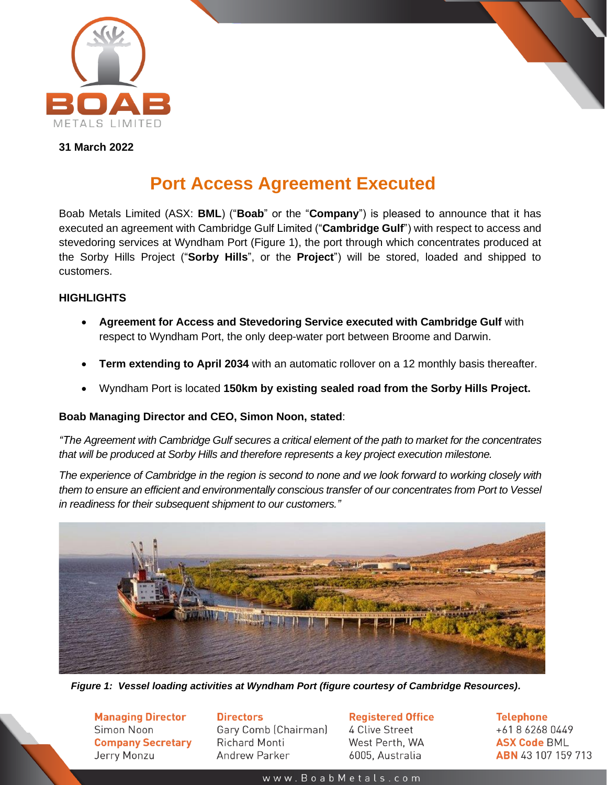

#### **31 March 2022**

# **Port Access Agreement Executed**

Boab Metals Limited (ASX: **BML**) ("**Boab**" or the "**Company**") is pleased to announce that it has executed an agreement with Cambridge Gulf Limited ("**Cambridge Gulf**") with respect to access and stevedoring services at Wyndham Port (Figure 1), the port through which concentrates produced at the Sorby Hills Project ("**Sorby Hills**", or the **Project**") will be stored, loaded and shipped to customers.

## **HIGHLIGHTS**

- **Agreement for Access and Stevedoring Service executed with Cambridge Gulf** with respect to Wyndham Port, the only deep-water port between Broome and Darwin.
- **Term extending to April 2034** with an automatic rollover on a 12 monthly basis thereafter.
- Wyndham Port is located **150km by existing sealed road from the Sorby Hills Project.**

## **Boab Managing Director and CEO, Simon Noon, stated**:

*"The Agreement with Cambridge Gulf secures a critical element of the path to market for the concentrates that will be produced at Sorby Hills and therefore represents a key project execution milestone.*

*The experience of Cambridge in the region is second to none and we look forward to working closely with them to ensure an efficient and environmentally conscious transfer of our concentrates from Port to Vessel in readiness for their subsequent shipment to our customers."*



*Figure 1: Vessel loading activities at Wyndham Port (figure courtesy of Cambridge Resources).*

**Managing Director** Simon Noon **Company Secretary** Jerry Monzu

**Directors** Gary Comb (Chairman) **Richard Monti Andrew Parker** 

**Registered Office** 4 Clive Street West Perth, WA 6005, Australia

**Telephone** +61862680449 **ASX Code BML ABN** 43 107 159 713

www.BoabMetals.com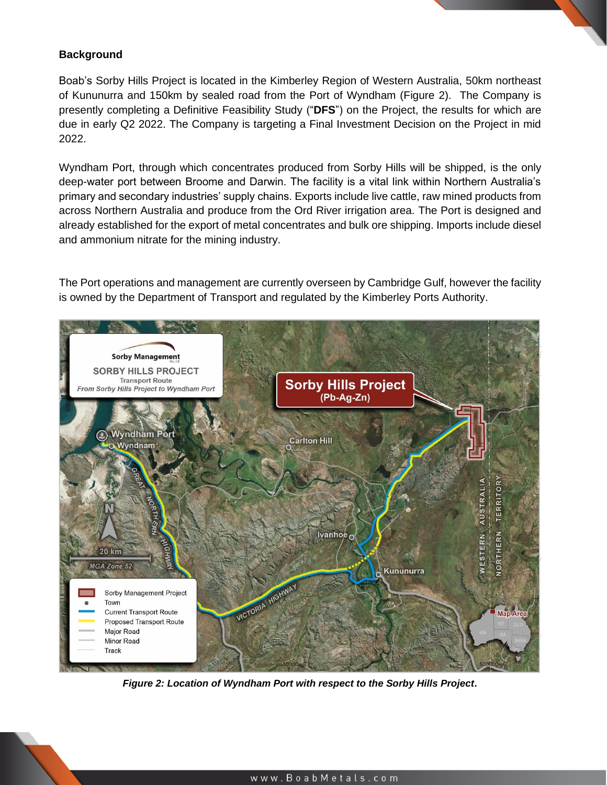#### **Background**

Boab's Sorby Hills Project is located in the Kimberley Region of Western Australia, 50km northeast of Kununurra and 150km by sealed road from the Port of Wyndham (Figure 2). The Company is presently completing a Definitive Feasibility Study ("**DFS**") on the Project, the results for which are due in early Q2 2022. The Company is targeting a Final Investment Decision on the Project in mid 2022.

Wyndham Port, through which concentrates produced from Sorby Hills will be shipped, is the only deep-water port between Broome and Darwin. The facility is a vital link within Northern Australia's primary and secondary industries' supply chains. Exports include live cattle, raw mined products from across Northern Australia and produce from the Ord River irrigation area. The Port is designed and already established for the export of metal concentrates and bulk ore shipping. Imports include diesel and ammonium nitrate for the mining industry.

The Port operations and management are currently overseen by Cambridge Gulf, however the facility is owned by the Department of Transport and regulated by the Kimberley Ports Authority.



*Figure 2: Location of Wyndham Port with respect to the Sorby Hills Project.*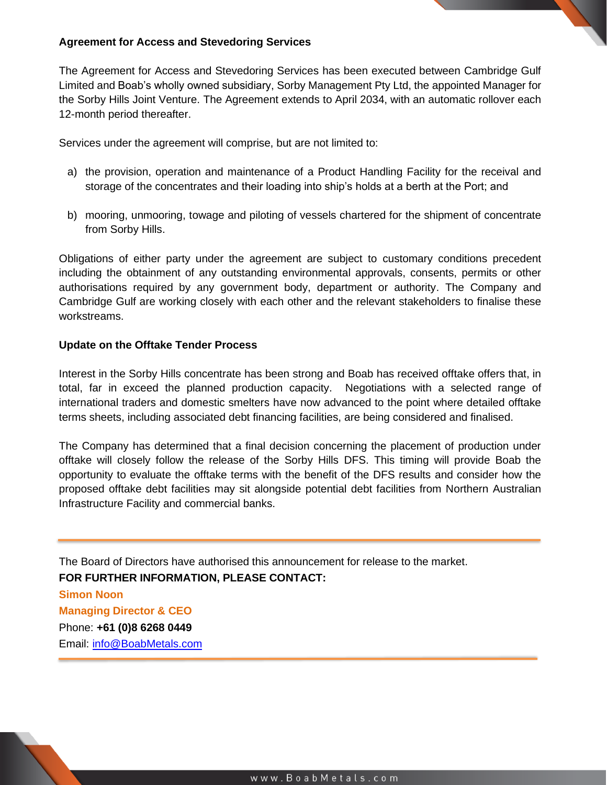#### **Agreement for Access and Stevedoring Services**

The Agreement for Access and Stevedoring Services has been executed between Cambridge Gulf Limited and Boab's wholly owned subsidiary, Sorby Management Pty Ltd, the appointed Manager for the Sorby Hills Joint Venture. The Agreement extends to April 2034, with an automatic rollover each 12-month period thereafter.

Services under the agreement will comprise, but are not limited to:

- a) the provision, operation and maintenance of a Product Handling Facility for the receival and storage of the concentrates and their loading into ship's holds at a berth at the Port; and
- b) mooring, unmooring, towage and piloting of vessels chartered for the shipment of concentrate from Sorby Hills.

Obligations of either party under the agreement are subject to customary conditions precedent including the obtainment of any outstanding environmental approvals, consents, permits or other authorisations required by any government body, department or authority. The Company and Cambridge Gulf are working closely with each other and the relevant stakeholders to finalise these workstreams.

#### **Update on the Offtake Tender Process**

Interest in the Sorby Hills concentrate has been strong and Boab has received offtake offers that, in total, far in exceed the planned production capacity. Negotiations with a selected range of international traders and domestic smelters have now advanced to the point where detailed offtake terms sheets, including associated debt financing facilities, are being considered and finalised.

The Company has determined that a final decision concerning the placement of production under offtake will closely follow the release of the Sorby Hills DFS. This timing will provide Boab the opportunity to evaluate the offtake terms with the benefit of the DFS results and consider how the proposed offtake debt facilities may sit alongside potential debt facilities from Northern Australian Infrastructure Facility and commercial banks.

The Board of Directors have authorised this announcement for release to the market.

**FOR FURTHER INFORMATION, PLEASE CONTACT:**

#### **Simon Noon**

**Managing Director & CEO** Phone: **+61 (0)8 6268 0449**

Email: [info@BoabMetals.com](mailto:info@BoabMetals.com)